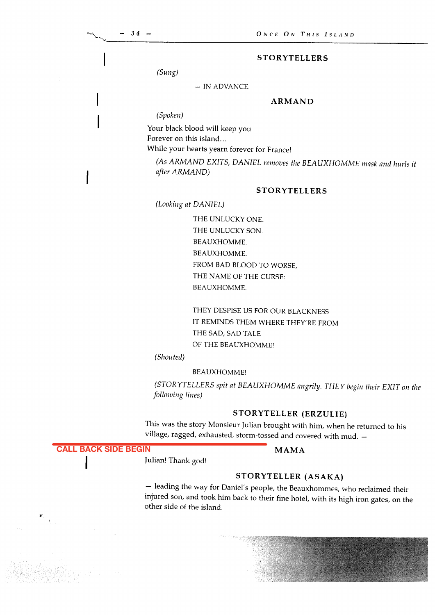### **STORYTELLERS**

(Sung)

— IN ADVANCE.

# **ARMAND**

(Spoken)

Your black blood will keep you Forever on this island... While your hearts yearn forever for France!

(As ARMAND EXITS, DANIEL removes the BEAUXHOMME mask and hurls it

after ARMAND)

#### STORYTELLERS

(Looking at DANIEL)

THE UNLUCKY ONE. THE UNLUCKY SON. BEAUXHOMME. BEAUXHOMME. FROM BAD BLOOD TO WORSE, THE NAME OF THE CURSE: BEAUXHOMME.

THEY DESPISE US FOR OUR BLACKNESS IT REMINDS THEM WHERE THEY'RE FROM THE SAD, SAD TALE OF THE BEAUXHOMME!

(Shouted)

#### BEAUXHOMME!

(STORYTELLERS spit at BEAUXHOMME angrily. THEY begin their EXIT on the following lines)

# STORYTELLER (ERZULIE)

This was the story Monsieur Julian brought with him, when he returned to his village, ragged, exhausted, storm-tossed and covered with mud. —

**CALL BACK SIDE BEGIN**

MAMA

Julian! Thank god!

# STORYTELLER (ASAKA)

— leading the way for Daniel's people, the Beauxhommes, who reclaimed their injured son, and took him back to their fine hotel, with its high iron gates, on the other side of the island.